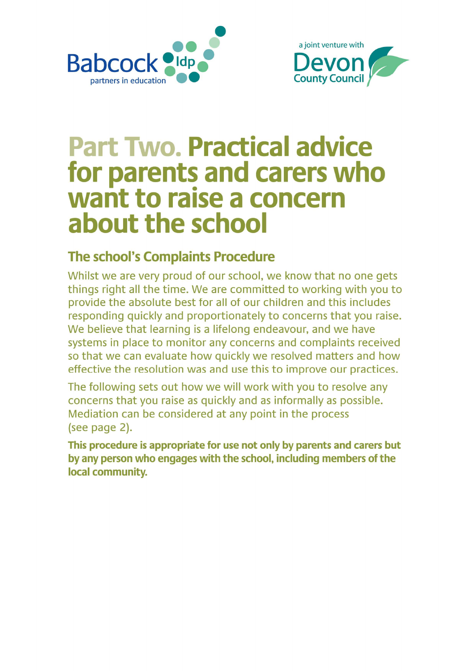



# **Part Two, Practical advice** for parents and carers who want to raise a concern about the school

### **The school's Complaints Procedure**

Whilst we are very proud of our school, we know that no one gets things right all the time. We are committed to working with you to provide the absolute best for all of our children and this includes responding quickly and proportionately to concerns that you raise. We believe that learning is a lifelong endeavour, and we have systems in place to monitor any concerns and complaints received so that we can evaluate how quickly we resolved matters and how effective the resolution was and use this to improve our practices.

The following sets out how we will work with you to resolve any concerns that you raise as quickly and as informally as possible. Mediation can be considered at any point in the process (see page 2).

This procedure is appropriate for use not only by parents and carers but by any person who engages with the school, including members of the local community.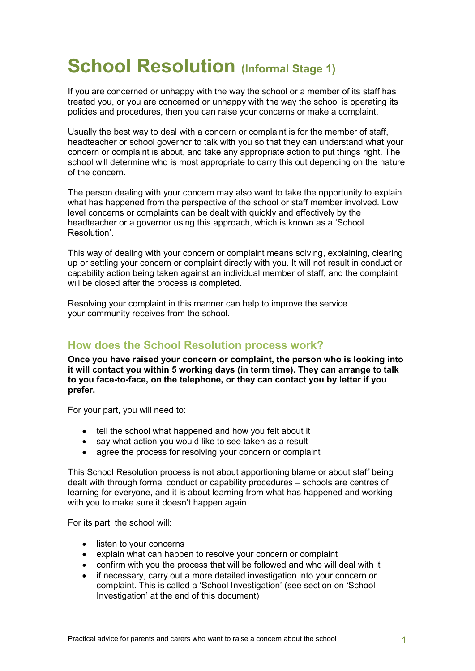## School Resolution (Informal Stage 1)

If you are concerned or unhappy with the way the school or a member of its staff has treated you, or you are concerned or unhappy with the way the school is operating its policies and procedures, then you can raise your concerns or make a complaint.

Usually the best way to deal with a concern or complaint is for the member of staff, headteacher or school governor to talk with you so that they can understand what your concern or complaint is about, and take any appropriate action to put things right. The school will determine who is most appropriate to carry this out depending on the nature of the concern.

The person dealing with your concern may also want to take the opportunity to explain what has happened from the perspective of the school or staff member involved. Low level concerns or complaints can be dealt with quickly and effectively by the headteacher or a governor using this approach, which is known as a 'School Resolution'.

This way of dealing with your concern or complaint means solving, explaining, clearing up or settling your concern or complaint directly with you. It will not result in conduct or capability action being taken against an individual member of staff, and the complaint will be closed after the process is completed.

Resolving your complaint in this manner can help to improve the service your community receives from the school.

#### How does the School Resolution process work?

Once you have raised your concern or complaint, the person who is looking into it will contact you within 5 working days (in term time). They can arrange to talk to you face-to-face, on the telephone, or they can contact you by letter if you prefer.

For your part, you will need to:

- tell the school what happened and how you felt about it
- say what action you would like to see taken as a result
- agree the process for resolving your concern or complaint

This School Resolution process is not about apportioning blame or about staff being dealt with through formal conduct or capability procedures – schools are centres of learning for everyone, and it is about learning from what has happened and working with you to make sure it doesn't happen again.

For its part, the school will:

- listen to your concerns
- explain what can happen to resolve your concern or complaint
- confirm with you the process that will be followed and who will deal with it
- if necessary, carry out a more detailed investigation into your concern or complaint. This is called a 'School Investigation' (see section on 'School Investigation' at the end of this document)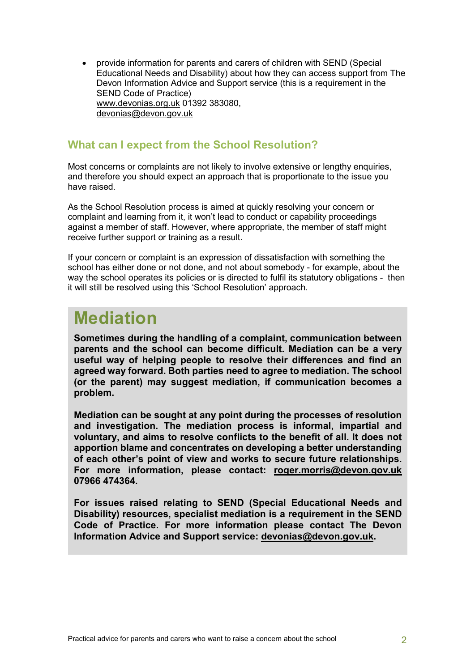provide information for parents and carers of children with SEND (Special Educational Needs and Disability) about how they can access support from The Devon Information Advice and Support service (this is a requirement in the SEND Code of Practice) www.devonias.org.uk 01392 383080, devonias@devon.gov.uk

#### What can I expect from the School Resolution?

Most concerns or complaints are not likely to involve extensive or lengthy enquiries, and therefore you should expect an approach that is proportionate to the issue you have raised.

As the School Resolution process is aimed at quickly resolving your concern or complaint and learning from it, it won't lead to conduct or capability proceedings against a member of staff. However, where appropriate, the member of staff might receive further support or training as a result.

If your concern or complaint is an expression of dissatisfaction with something the school has either done or not done, and not about somebody - for example, about the way the school operates its policies or is directed to fulfil its statutory obligations - then it will still be resolved using this 'School Resolution' approach.

### Mediation

Sometimes during the handling of a complaint, communication between parents and the school can become difficult. Mediation can be a very useful way of helping people to resolve their differences and find an agreed way forward. Both parties need to agree to mediation. The school (or the parent) may suggest mediation, if communication becomes a problem.

Mediation can be sought at any point during the processes of resolution and investigation. The mediation process is informal, impartial and voluntary, and aims to resolve conflicts to the benefit of all. It does not apportion blame and concentrates on developing a better understanding of each other's point of view and works to secure future relationships. For more information, please contact: roger.morris@devon.gov.uk 07966 474364.

For issues raised relating to SEND (Special Educational Needs and Disability) resources, specialist mediation is a requirement in the SEND Code of Practice. For more information please contact The Devon Information Advice and Support service: devonias@devon.gov.uk.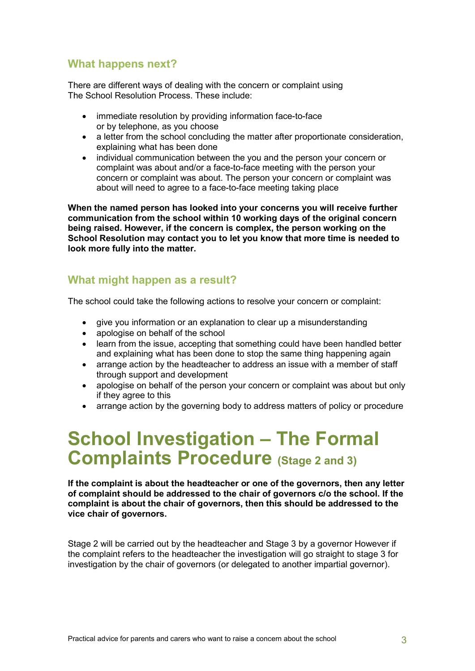#### What happens next?

There are different ways of dealing with the concern or complaint using The School Resolution Process. These include:

- immediate resolution by providing information face-to-face or by telephone, as you choose
- a letter from the school concluding the matter after proportionate consideration, explaining what has been done
- individual communication between the you and the person your concern or complaint was about and/or a face-to-face meeting with the person your concern or complaint was about. The person your concern or complaint was about will need to agree to a face-to-face meeting taking place

When the named person has looked into your concerns you will receive further communication from the school within 10 working days of the original concern being raised. However, if the concern is complex, the person working on the School Resolution may contact you to let you know that more time is needed to look more fully into the matter.

#### What might happen as a result?

The school could take the following actions to resolve your concern or complaint:

- give you information or an explanation to clear up a misunderstanding
- apologise on behalf of the school
- learn from the issue, accepting that something could have been handled better and explaining what has been done to stop the same thing happening again
- arrange action by the headteacher to address an issue with a member of staff through support and development
- apologise on behalf of the person your concern or complaint was about but only if they agree to this
- arrange action by the governing body to address matters of policy or procedure

### School Investigation – The Formal Complaints Procedure (Stage 2 and 3)

If the complaint is about the headteacher or one of the governors, then any letter of complaint should be addressed to the chair of governors c/o the school. If the complaint is about the chair of governors, then this should be addressed to the vice chair of governors.

Stage 2 will be carried out by the headteacher and Stage 3 by a governor However if the complaint refers to the headteacher the investigation will go straight to stage 3 for investigation by the chair of governors (or delegated to another impartial governor).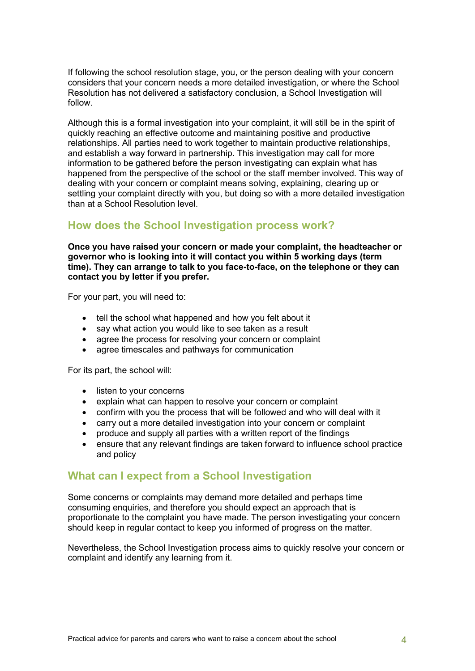If following the school resolution stage, you, or the person dealing with your concern considers that your concern needs a more detailed investigation, or where the School Resolution has not delivered a satisfactory conclusion, a School Investigation will follow.

Although this is a formal investigation into your complaint, it will still be in the spirit of quickly reaching an effective outcome and maintaining positive and productive relationships. All parties need to work together to maintain productive relationships, and establish a way forward in partnership. This investigation may call for more information to be gathered before the person investigating can explain what has happened from the perspective of the school or the staff member involved. This way of dealing with your concern or complaint means solving, explaining, clearing up or settling your complaint directly with you, but doing so with a more detailed investigation than at a School Resolution level.

#### How does the School Investigation process work?

Once you have raised your concern or made your complaint, the headteacher or governor who is looking into it will contact you within 5 working days (term time). They can arrange to talk to you face-to-face, on the telephone or they can contact you by letter if you prefer.

For your part, you will need to:

- tell the school what happened and how you felt about it
- say what action you would like to see taken as a result
- agree the process for resolving your concern or complaint
- agree timescales and pathways for communication

For its part, the school will:

- listen to your concerns
- explain what can happen to resolve your concern or complaint
- confirm with you the process that will be followed and who will deal with it
- carry out a more detailed investigation into your concern or complaint
- produce and supply all parties with a written report of the findings
- ensure that any relevant findings are taken forward to influence school practice and policy

#### What can I expect from a School Investigation

Some concerns or complaints may demand more detailed and perhaps time consuming enquiries, and therefore you should expect an approach that is proportionate to the complaint you have made. The person investigating your concern should keep in regular contact to keep you informed of progress on the matter.

Nevertheless, the School Investigation process aims to quickly resolve your concern or complaint and identify any learning from it.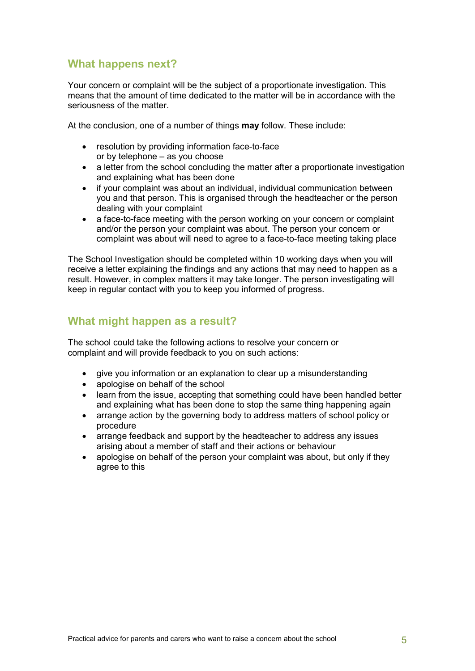#### What happens next?

Your concern or complaint will be the subject of a proportionate investigation. This means that the amount of time dedicated to the matter will be in accordance with the seriousness of the matter.

At the conclusion, one of a number of things **may** follow. These include:

- resolution by providing information face-to-face or by telephone – as you choose
- a letter from the school concluding the matter after a proportionate investigation and explaining what has been done
- if your complaint was about an individual, individual communication between you and that person. This is organised through the headteacher or the person dealing with your complaint
- a face-to-face meeting with the person working on your concern or complaint and/or the person your complaint was about. The person your concern or complaint was about will need to agree to a face-to-face meeting taking place

The School Investigation should be completed within 10 working days when you will receive a letter explaining the findings and any actions that may need to happen as a result. However, in complex matters it may take longer. The person investigating will keep in regular contact with you to keep you informed of progress.

#### What might happen as a result?

The school could take the following actions to resolve your concern or complaint and will provide feedback to you on such actions:

- give you information or an explanation to clear up a misunderstanding
- apologise on behalf of the school
- learn from the issue, accepting that something could have been handled better and explaining what has been done to stop the same thing happening again
- arrange action by the governing body to address matters of school policy or procedure
- arrange feedback and support by the headteacher to address any issues arising about a member of staff and their actions or behaviour
- apologise on behalf of the person your complaint was about, but only if they agree to this